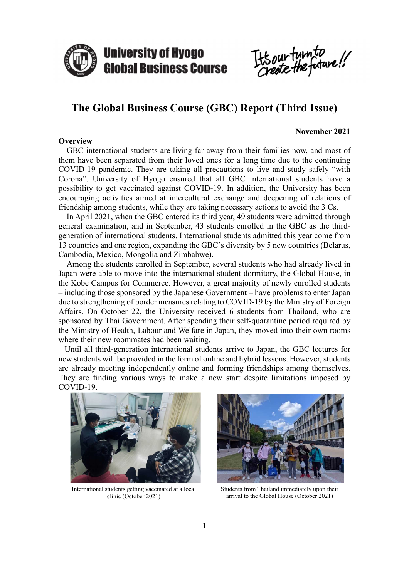

It's our turn to

# **The Global Business Course (GBC) Report (Third Issue)**

## **Overview**

## **November 2021**

GBC international students are living far away from their families now, and most of them have been separated from their loved ones for a long time due to the continuing COVID-19 pandemic. They are taking all precautions to live and study safely "with Corona". University of Hyogo ensured that all GBC international students have a possibility to get vaccinated against COVID-19. In addition, the University has been encouraging activities aimed at intercultural exchange and deepening of relations of friendship among students, while they are taking necessary actions to avoid the 3 Cs.

In April 2021, when the GBC entered its third year, 49 students were admitted through general examination, and in September, 43 students enrolled in the GBC as the thirdgeneration of international students. International students admitted this year come from 13 countries and one region, expanding the GBC's diversity by 5 new countries (Belarus, Cambodia, Mexico, Mongolia and Zimbabwe).

Among the students enrolled in September, several students who had already lived in Japan were able to move into the international student dormitory, the Global House, in the Kobe Campus for Commerce. However, a great majority of newly enrolled students – including those sponsored by the Japanese Government – have problems to enter Japan due to strengthening of border measures relating to COVID-19 by the Ministry of Foreign Affairs. On October 22, the University received 6 students from Thailand, who are sponsored by Thai Government. After spending their self-quarantine period required by the Ministry of Health, Labour and Welfare in Japan, they moved into their own rooms where their new roommates had been waiting.

Until all third-generation international students arrive to Japan, the GBC lectures for new students will be provided in the form of online and hybrid lessons. However, students are already meeting independently online and forming friendships among themselves. They are finding various ways to make a new start despite limitations imposed by COVID-19.



International students getting vaccinated at a local clinic (October 2021)



Students from Thailand immediately upon their arrival to the Global House (October 2021)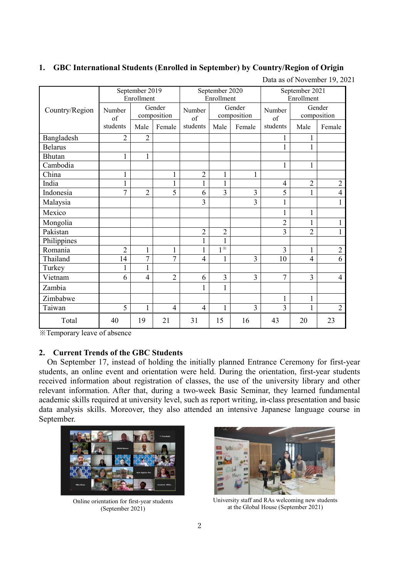## **1. GBC International Students (Enrolled in September) by Country/Region of Origin**

|  | Data as of November 19, 2021 |  |  |
|--|------------------------------|--|--|
|--|------------------------------|--|--|

|                | September 2019<br>Enrollment |                       |                | September 2020<br>Enrollment |                             |                       | September 2021<br>Enrollment |                       |                |
|----------------|------------------------------|-----------------------|----------------|------------------------------|-----------------------------|-----------------------|------------------------------|-----------------------|----------------|
| Country/Region | Number<br>of                 | Gender<br>composition |                | Number<br>of                 |                             | Gender<br>composition | Number<br>of                 | Gender<br>composition |                |
|                | students                     | Male                  | Female         | students                     | Male                        | Female                | students                     | Male                  | Female         |
| Bangladesh     | $\overline{2}$               | $\overline{c}$        |                |                              |                             |                       | 1                            | 1                     |                |
| <b>Belarus</b> |                              |                       |                |                              |                             |                       | $\mathbf{1}$                 | $\mathbf{1}$          |                |
| Bhutan         | $\mathbf{1}$                 | $\mathbf{1}$          |                |                              |                             |                       |                              |                       |                |
| Cambodia       |                              |                       |                |                              |                             |                       | $\mathbf{1}$                 | $\mathbf{1}$          |                |
| China          |                              |                       |                | $\overline{2}$               | $\mathbf 1$                 | $\mathbf{1}$          |                              |                       |                |
| India          | 1                            |                       |                | 1                            | $\mathbf{1}$                |                       | 4                            | $\overline{2}$        | $\overline{c}$ |
| Indonesia      | $\overline{7}$               | $\overline{2}$        | $\overline{5}$ | 6                            | $\overline{3}$              | 3                     | 5                            | $\overline{1}$        | $\overline{4}$ |
| Malaysia       |                              |                       |                | 3                            |                             | 3                     | $\mathbf{1}$                 |                       | $\mathbf{1}$   |
| Mexico         |                              |                       |                |                              |                             |                       | $\mathbf{1}$                 | $\mathbf 1$           |                |
| Mongolia       |                              |                       |                |                              |                             |                       | $\overline{2}$               | $\mathbf 1$           |                |
| Pakistan       |                              |                       |                | $\overline{2}$               | $\overline{2}$              |                       | 3                            | $\overline{2}$        |                |
| Philippines    |                              |                       |                | $\mathbf{1}$                 | $\mathbf{1}$                |                       |                              |                       |                |
| Romania        | $\overline{2}$               | $\mathbf{1}$          | $\mathbf{1}$   | $\mathbf{1}$                 | $1^{\overline{\mathbb{X}}}$ |                       | 3                            | $\mathbf{1}$          | $\overline{2}$ |
| Thailand       | 14                           | 7                     | 7              | $\overline{\mathcal{A}}$     | 1                           | 3                     | 10                           | $\overline{4}$        | 6              |
| Turkey         | 1                            | $\mathbf{1}$          |                |                              |                             |                       |                              |                       |                |
| Vietnam        | 6                            | $\overline{4}$        | $\overline{2}$ | 6                            | 3                           | 3                     | $\overline{7}$               | $\overline{3}$        | 4              |
| Zambia         |                              |                       |                | $\mathbf{1}$                 | $\mathbf{1}$                |                       |                              |                       |                |
| Zimbabwe       |                              |                       |                |                              |                             |                       | $\mathbf{1}$                 | $\mathbf{1}$          |                |
| Taiwan         | 5                            | 1                     | $\overline{4}$ | $\overline{4}$               | $\mathbf{1}$                | 3                     | 3                            | 1                     | $\overline{2}$ |
| Total          | 40                           | 19                    | 21             | 31                           | 15                          | 16                    | 43                           | 20                    | 23             |

※Temporary leave of absence

## **2. Current Trends of the GBC Students**

On September 17, instead of holding the initially planned Entrance Ceremony for first-year students, an online event and orientation were held. During the orientation, first-year students received information about registration of classes, the use of the university library and other relevant information. After that, during a two-week Basic Seminar, they learned fundamental academic skills required at university level, such as report writing, in-class presentation and basic data analysis skills. Moreover, they also attended an intensive Japanese language course in September.



Online orientation for first-year students (September 2021)



University staff and RAs welcoming new students at the Global House (September 2021)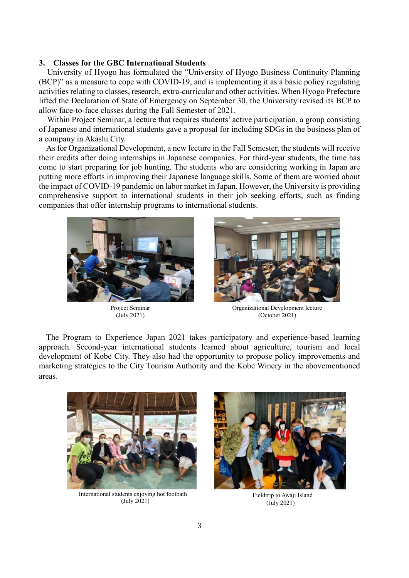#### **3. Classes for the GBC International Students**

University of Hyogo has formulated the "University of Hyogo Business Continuity Planning (BCP)" as a measure to cope with COVID-19, and is implementing it as a basic policy regulating activities relating to classes, research, extra-curricular and other activities. When Hyogo Prefecture lifted the Declaration of State of Emergency on September 30, the University revised its BCP to allow face-to-face classes during the Fall Semester of 2021.

Within Project Seminar, a lecture that requires students' active participation, a group consisting of Japanese and international students gave a proposal for including SDGs in the business plan of a company in Akashi City.

As for Organizational Development, a new lecture in the Fall Semester, the students will receive their credits after doing internships in Japanese companies. For third-year students, the time has come to start preparing for job hunting. The students who are considering working in Japan are putting more efforts in improving their Japanese language skills. Some of them are worried about the impact of COVID-19 pandemic on labor market in Japan. However, the University is providing comprehensive support to international students in their job seeking efforts, such as finding companies that offer internship programs to international students.



Project Seminar (July 2021)



Organizational Development lecture (October 2021)

The Program to Experience Japan 2021 takes participatory and experience-based learning approach. Second-year international students learned about agriculture, tourism and local development of Kobe City. They also had the opportunity to propose policy improvements and marketing strategies to the City Tourism Authority and the Kobe Winery in the abovementioned areas.



International students enjoying hot footbath (July 2021)



Fieldtrip to Awaji Island (July 2021)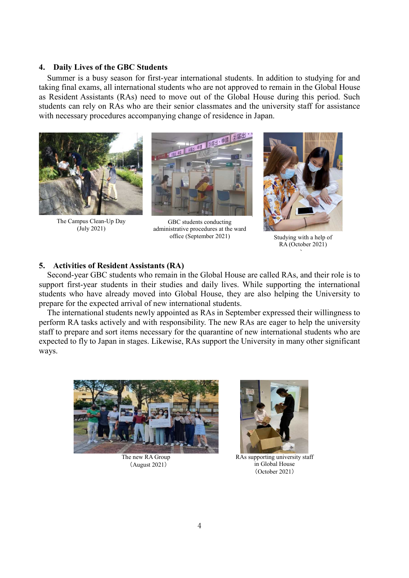#### **4. Daily Lives of the GBC Students**

Summer is a busy season for first-year international students. In addition to studying for and taking final exams, all international students who are not approved to remain in the Global House as Resident Assistants (RAs) need to move out of the Global House during this period. Such students can rely on RAs who are their senior classmates and the university staff for assistance with necessary procedures accompanying change of residence in Japan.



The Campus Clean-Up Day (July 2021)



GBC students conducting administrative procedures at the ward office (September 2021) Studying with a help of



RA (October 2021) )

## **5. Activities of Resident Assistants (RA)**

Second-year GBC students who remain in the Global House are called RAs, and their role is to support first-year students in their studies and daily lives. While supporting the international students who have already moved into Global House, they are also helping the University to prepare for the expected arrival of new international students.

The international students newly appointed as RAs in September expressed their willingness to perform RA tasks actively and with responsibility. The new RAs are eager to help the university staff to prepare and sort items necessary for the quarantine of new international students who are expected to fly to Japan in stages. Likewise, RAs support the University in many other significant ways.



The new RA Group (August 2021)



RAs supporting university staff in Global House (October 2021)